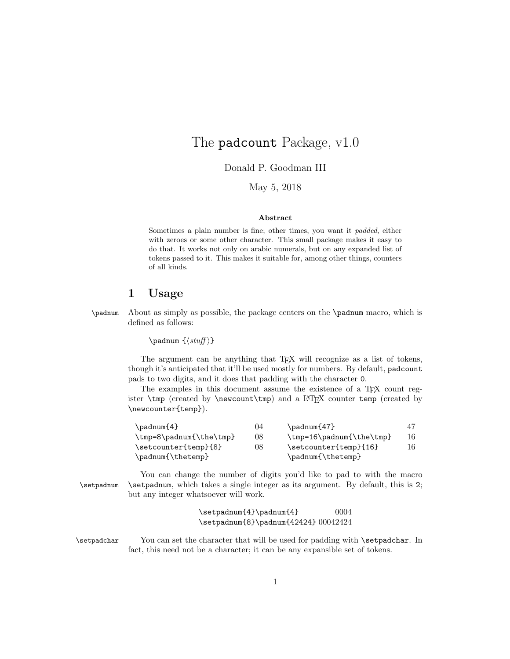## The padcount Package, v1.0

Donald P. Goodman III

May 5, 2018

## Abstract

Sometimes a plain number is fine; other times, you want it padded, either with zeroes or some other character. This small package makes it easy to do that. It works not only on arabic numerals, but on any expanded list of tokens passed to it. This makes it suitable for, among other things, counters of all kinds.

## 1 Usage

\padnum About as simply as possible, the package centers on the \padnum macro, which is defined as follows:

\padnum  $\{\langle \textit{stuff} \rangle\}$ 

The argument can be anything that T<sub>E</sub>X will recognize as a list of tokens, though it's anticipated that it'll be used mostly for numbers. By default, padcount pads to two digits, and it does that padding with the character 0.

The examples in this document assume the existence of a T<sub>E</sub>X count register  $\temp$  (created by  $\newcount\ttnp$ ) and a LATEX counter temp (created by \newcounter{temp}).

| $\mathrm{2}$            | 04 | $\mathrm{47}$            |    |
|-------------------------|----|--------------------------|----|
| \tmp=8\padnum{\the\tmp} | 08 | \tmp=16\padnum{\the\tmp} | 16 |
| \setcounter{temp}{8}    | 08 | \setcounter{temp}{16}    | 16 |
| \padnum{\thetemp}       |    | \padnum{\thetemp}        |    |

You can change the number of digits you'd like to pad to with the macro \setpadnum \setpadnum, which takes a single integer as its argument. By default, this is 2; but any integer whatsoever will work.

> $\setminus$  \setpadnum{4} \padnum{4} 0004 \setpadnum{8}\padnum{42424} 00042424

\setpadchar You can set the character that will be used for padding with \setpadchar. In fact, this need not be a character; it can be any expansible set of tokens.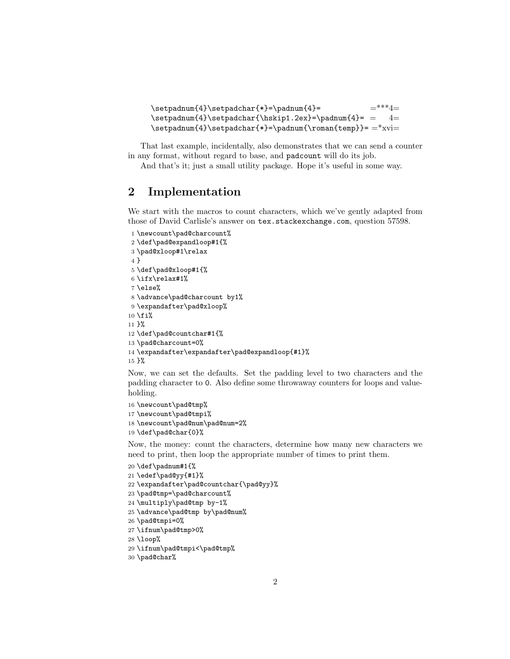```
\setpadnum{4}\setpadchar{*}=\padnum{4}= =***4=
\setminus\{\hspace{-0.5mm}\} \setpadnum{4}\setpadchar{\hskip1.2ex}=\padnum{4}= = 4=
\setpadnum{4}\setpadchar{*}=\padnum{\roman{temp}}= =*xvi=
```
That last example, incidentally, also demonstrates that we can send a counter in any format, without regard to base, and padcount will do its job.

And that's it; just a small utility package. Hope it's useful in some way.

## 2 Implementation

We start with the macros to count characters, which we've gently adapted from those of David Carlisle's answer on tex.stackexchange.com, question 57598.

```
1 \newcount\pad@charcount%
2 \def\pad@expandloop#1{%
3 \pad@xloop#1\relax
4 }
5 \def\pad@xloop#1{%
6 \ifx\relax\#1%7 \else%
8 \advance\pad@charcount by1%
9 \expandafter\pad@xloop%
10 \fifi%
11 }%
12 \def\pad@countchar#1{%
13 \pad@charcount=0%
14 \expandafter\expandafter\pad@expandloop{#1}%
15 }%
```
Now, we can set the defaults. Set the padding level to two characters and the padding character to 0. Also define some throwaway counters for loops and valueholding.

```
16 \newcount\pad@tmp%
```

```
17 \newcount\pad@tmpi%
```

```
18 \newcount\pad@num\pad@num=2%
```

```
19 \def\pad@char{0}%
```
Now, the money: count the characters, determine how many new characters we need to print, then loop the appropriate number of times to print them.

```
20 \def\padnum#1{%
21 \edef\pad@yy{#1}%
22 \expandafter\pad@countchar{\pad@yy}%
23 \pad@tmp=\pad@charcount%
24 \multiply\pad@tmp by-1%
25 \advance\pad@tmp by\pad@num%
26 \pad@tmpi=0%
27 \ifnum\pad@tmp>0%
```

```
28 \loop%
```

```
29 \ifnum\pad@tmpi<\pad@tmp%
```

```
30 \pad@char%
```